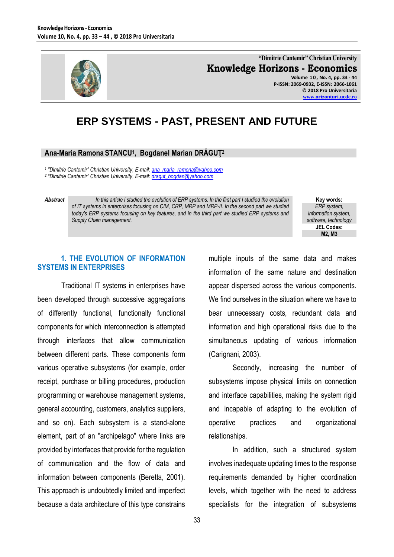

**"Dimitrie Cantemir" Christian University Knowledge Horizons - Economics Volume 1 0 , No. 4, pp. 33 - 44 P-ISSN: 2069-0932, E-ISSN: 2066-1061 © 2018 Pro Universitaria**

**[www.orizonturi.ucdc.ro](http://www.orizonturi.ucdc.ro/)**

# **ERP SYSTEMS - PAST, PRESENT AND FUTURE**

#### **Ana-Maria Ramona STANCU<sup>1</sup> , Bogdanel Marian DRĂGUŢ<sup>2</sup>**

*1 "Dimitrie Cantemir" Christian University, E-mail: [ana\\_maria\\_ramona@yahoo.com](mailto:ana_maria_ramona@yahoo.com)*

*2 "Dimitrie Cantemir" Christian University, E-mail: [dragut\\_bogdan@yahoo.com](file:///C:/Users/User/Downloads/dragut_bogdan@yahoo.com)*

*Abstract In this article I studied the evolution of ERP systems. In the first part I studied the evolution of IT systems in enterprises focusing on CIM, CRP, MRP and MRP-II. In the second part we studied today's ERP systems focusing on key features, and in the third part we studied ERP systems and Supply Chain management.*

**Key words:** *ERP system, information system, software, technology* **JEL Codes: M2, M3**

## **1. THE EVOLUTION OF INFORMATION SYSTEMS IN ENTERPRISES**

Traditional IT systems in enterprises have been developed through successive aggregations of differently functional, functionally functional components for which interconnection is attempted through interfaces that allow communication between different parts. These components form various operative subsystems (for example, order receipt, purchase or billing procedures, production programming or warehouse management systems, general accounting, customers, analytics suppliers, and so on). Each subsystem is a stand-alone element, part of an "archipelago" where links are provided by interfaces that provide for the regulation of communication and the flow of data and information between components (Beretta, 2001). This approach is undoubtedly limited and imperfect because a data architecture of this type constrains multiple inputs of the same data and makes information of the same nature and destination appear dispersed across the various components. We find ourselves in the situation where we have to bear unnecessary costs, redundant data and information and high operational risks due to the simultaneous updating of various information (Carignani, 2003).

Secondly, increasing the number of subsystems impose physical limits on connection and interface capabilities, making the system rigid and incapable of adapting to the evolution of operative practices and organizational relationships.

In addition, such a structured system involves inadequate updating times to the response requirements demanded by higher coordination levels, which together with the need to address specialists for the integration of subsystems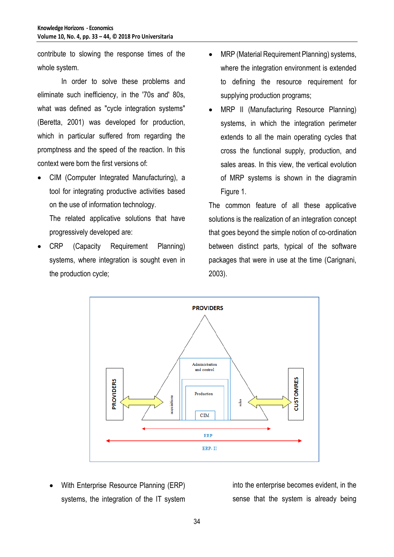contribute to slowing the response times of the whole system.

In order to solve these problems and eliminate such inefficiency, in the '70s and' 80s, what was defined as "cycle integration systems" (Beretta, 2001) was developed for production, which in particular suffered from regarding the promptness and the speed of the reaction. In this context were born the first versions of:

 CIM (Computer Integrated Manufacturing), a tool for integrating productive activities based on the use of information technology.

The related applicative solutions that have progressively developed are:

 CRP (Capacity Requirement Planning) systems, where integration is sought even in the production cycle;

- MRP (Material Requirement Planning) systems, where the integration environment is extended to defining the resource requirement for supplying production programs;
- MRP II (Manufacturing Resource Planning) systems, in which the integration perimeter extends to all the main operating cycles that cross the functional supply, production, and sales areas. In this view, the vertical evolution of MRP systems is shown in the diagramin Figure 1.

The common feature of all these applicative solutions is the realization of an integration concept that goes beyond the simple notion of co-ordination between distinct parts, typical of the software packages that were in use at the time (Carignani, 2003).



 With Enterprise Resource Planning (ERP) systems, the integration of the IT system into the enterprise becomes evident, in the sense that the system is already being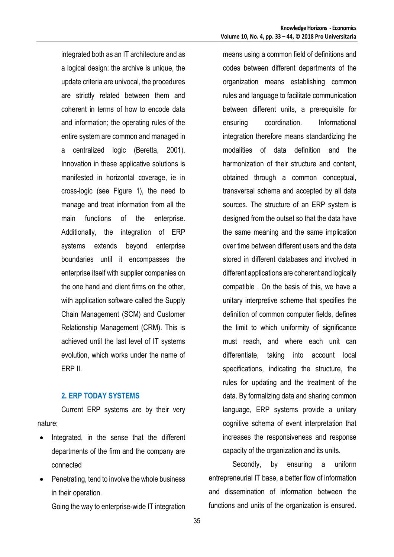integrated both as an IT architecture and as a logical design: the archive is unique, the update criteria are univocal, the procedures are strictly related between them and coherent in terms of how to encode data and information; the operating rules of the entire system are common and managed in a centralized logic (Beretta, 2001). Innovation in these applicative solutions is manifested in horizontal coverage, ie in cross-logic (see Figure 1), the need to manage and treat information from all the main functions of the enterprise. Additionally, the integration of ERP systems extends beyond enterprise boundaries until it encompasses the enterprise itself with supplier companies on the one hand and client firms on the other, with application software called the Supply Chain Management (SCM) and Customer Relationship Management (CRM). This is achieved until the last level of IT systems evolution, which works under the name of ERP II.

#### **2. ERP TODAY SYSTEMS**

Current ERP systems are by their very nature:

- Integrated, in the sense that the different departments of the firm and the company are connected
- Penetrating, tend to involve the whole business in their operation.

Going the way to enterprise-wide IT integration

means using a common field of definitions and codes between different departments of the organization means establishing common rules and language to facilitate communication between different units, a prerequisite for ensuring coordination. Informational integration therefore means standardizing the modalities of data definition and the harmonization of their structure and content, obtained through a common conceptual, transversal schema and accepted by all data sources. The structure of an ERP system is designed from the outset so that the data have the same meaning and the same implication over time between different users and the data stored in different databases and involved in different applications are coherent and logically compatible . On the basis of this, we have a unitary interpretive scheme that specifies the definition of common computer fields, defines the limit to which uniformity of significance must reach, and where each unit can differentiate, taking into account local specifications, indicating the structure, the rules for updating and the treatment of the data. By formalizing data and sharing common language, ERP systems provide a unitary cognitive schema of event interpretation that increases the responsiveness and response capacity of the organization and its units.

Secondly, by ensuring a uniform entrepreneurial IT base, a better flow of information and dissemination of information between the functions and units of the organization is ensured.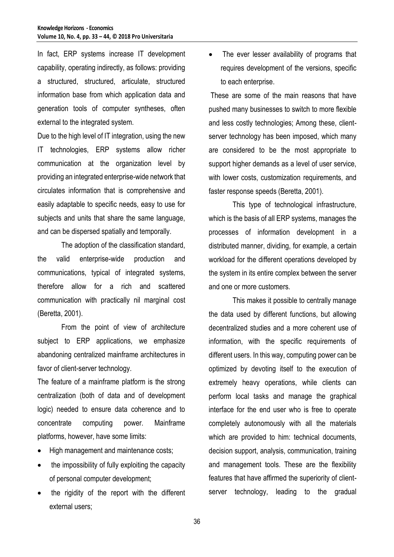In fact, ERP systems increase IT development capability, operating indirectly, as follows: providing a structured, structured, articulate, structured information base from which application data and generation tools of computer syntheses, often external to the integrated system.

Due to the high level of IT integration, using the new IT technologies, ERP systems allow richer communication at the organization level by providing an integrated enterprise-wide network that circulates information that is comprehensive and easily adaptable to specific needs, easy to use for subjects and units that share the same language, and can be dispersed spatially and temporally.

The adoption of the classification standard, the valid enterprise-wide production and communications, typical of integrated systems, therefore allow for a rich and scattered communication with practically nil marginal cost (Beretta, 2001).

From the point of view of architecture subject to ERP applications, we emphasize abandoning centralized mainframe architectures in favor of client-server technology.

The feature of a mainframe platform is the strong centralization (both of data and of development logic) needed to ensure data coherence and to concentrate computing power. Mainframe platforms, however, have some limits:

- High management and maintenance costs;
- the impossibility of fully exploiting the capacity of personal computer development;
- the rigidity of the report with the different external users;

 The ever lesser availability of programs that requires development of the versions, specific to each enterprise.

These are some of the main reasons that have pushed many businesses to switch to more flexible and less costly technologies; Among these, clientserver technology has been imposed, which many are considered to be the most appropriate to support higher demands as a level of user service, with lower costs, customization requirements, and faster response speeds (Beretta, 2001).

This type of technological infrastructure, which is the basis of all ERP systems, manages the processes of information development in a distributed manner, dividing, for example, a certain workload for the different operations developed by the system in its entire complex between the server and one or more customers.

This makes it possible to centrally manage the data used by different functions, but allowing decentralized studies and a more coherent use of information, with the specific requirements of different users. In this way, computing power can be optimized by devoting itself to the execution of extremely heavy operations, while clients can perform local tasks and manage the graphical interface for the end user who is free to operate completely autonomously with all the materials which are provided to him: technical documents, decision support, analysis, communication, training and management tools. These are the flexibility features that have affirmed the superiority of clientserver technology, leading to the gradual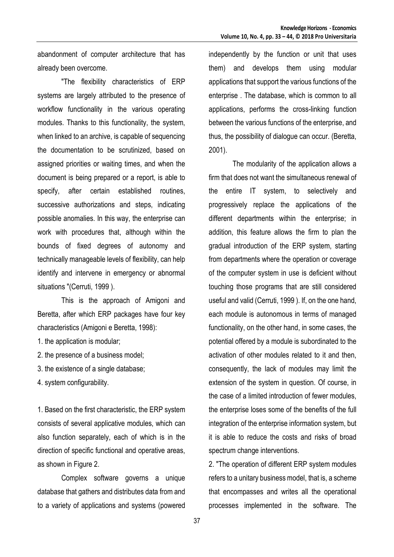abandonment of computer architecture that has already been overcome.

"The flexibility characteristics of ERP systems are largely attributed to the presence of workflow functionality in the various operating modules. Thanks to this functionality, the system, when linked to an archive, is capable of sequencing the documentation to be scrutinized, based on assigned priorities or waiting times, and when the document is being prepared or a report, is able to specify, after certain established routines, successive authorizations and steps, indicating possible anomalies. In this way, the enterprise can work with procedures that, although within the bounds of fixed degrees of autonomy and technically manageable levels of flexibility, can help identify and intervene in emergency or abnormal situations "(Cerruti, 1999 ).

This is the approach of Amigoni and Beretta, after which ERP packages have four key characteristics (Amigoni e Beretta, 1998):

- 1. the application is modular;
- 2. the presence of a business model;
- 3. the existence of a single database;
- 4. system configurability.

1. Based on the first characteristic, the ERP system consists of several applicative modules, which can also function separately, each of which is in the direction of specific functional and operative areas, as shown in Figure 2.

Complex software governs a unique database that gathers and distributes data from and to a variety of applications and systems (powered independently by the function or unit that uses them) and develops them using modular applications that support the various functions of the enterprise . The database, which is common to all applications, performs the cross-linking function between the various functions of the enterprise, and thus, the possibility of dialogue can occur. (Beretta, 2001).

The modularity of the application allows a firm that does not want the simultaneous renewal of the entire IT system, to selectively and progressively replace the applications of the different departments within the enterprise; in addition, this feature allows the firm to plan the gradual introduction of the ERP system, starting from departments where the operation or coverage of the computer system in use is deficient without touching those programs that are still considered useful and valid (Cerruti, 1999 ). If, on the one hand, each module is autonomous in terms of managed functionality, on the other hand, in some cases, the potential offered by a module is subordinated to the activation of other modules related to it and then, consequently, the lack of modules may limit the extension of the system in question. Of course, in the case of a limited introduction of fewer modules, the enterprise loses some of the benefits of the full integration of the enterprise information system, but it is able to reduce the costs and risks of broad spectrum change interventions.

2. "The operation of different ERP system modules refers to a unitary business model, that is, a scheme that encompasses and writes all the operational processes implemented in the software. The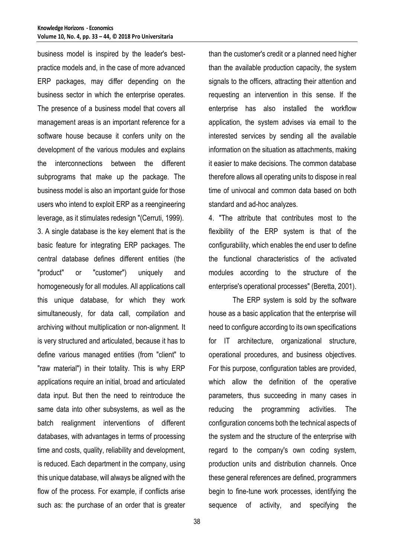business model is inspired by the leader's bestpractice models and, in the case of more advanced ERP packages, may differ depending on the business sector in which the enterprise operates. The presence of a business model that covers all management areas is an important reference for a software house because it confers unity on the development of the various modules and explains the interconnections between the different subprograms that make up the package. The business model is also an important guide for those users who intend to exploit ERP as a reengineering leverage, as it stimulates redesign "(Cerruti, 1999). 3. A single database is the key element that is the basic feature for integrating ERP packages. The central database defines different entities (the "product" or "customer") uniquely and homogeneously for all modules. All applications call this unique database, for which they work simultaneously, for data call, compilation and archiving without multiplication or non-alignment. It is very structured and articulated, because it has to define various managed entities (from "client" to "raw material") in their totality. This is why ERP applications require an initial, broad and articulated data input. But then the need to reintroduce the same data into other subsystems, as well as the batch realignment interventions of different databases, with advantages in terms of processing time and costs, quality, reliability and development, is reduced. Each department in the company, using this unique database, will always be aligned with the flow of the process. For example, if conflicts arise such as: the purchase of an order that is greater

than the customer's credit or a planned need higher than the available production capacity, the system signals to the officers, attracting their attention and requesting an intervention in this sense. If the enterprise has also installed the workflow application, the system advises via email to the interested services by sending all the available information on the situation as attachments, making it easier to make decisions. The common database therefore allows all operating units to dispose in real time of univocal and common data based on both standard and ad-hoc analyzes.

4. "The attribute that contributes most to the flexibility of the ERP system is that of the configurability, which enables the end user to define the functional characteristics of the activated modules according to the structure of the enterprise's operational processes" (Beretta, 2001).

The ERP system is sold by the software house as a basic application that the enterprise will need to configure according to its own specifications for IT architecture, organizational structure, operational procedures, and business objectives. For this purpose, configuration tables are provided, which allow the definition of the operative parameters, thus succeeding in many cases in reducing the programming activities. The configuration concerns both the technical aspects of the system and the structure of the enterprise with regard to the company's own coding system, production units and distribution channels. Once these general references are defined, programmers begin to fine-tune work processes, identifying the sequence of activity, and specifying the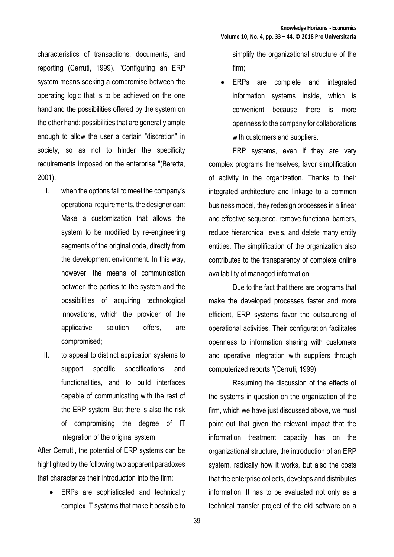characteristics of transactions, documents, and reporting (Cerruti, 1999). "Configuring an ERP system means seeking a compromise between the operating logic that is to be achieved on the one hand and the possibilities offered by the system on the other hand; possibilities that are generally ample enough to allow the user a certain "discretion" in society, so as not to hinder the specificity requirements imposed on the enterprise "(Beretta, 2001).

- I. when the options fail to meet the company's operational requirements, the designer can: Make a customization that allows the system to be modified by re-engineering segments of the original code, directly from the development environment. In this way, however, the means of communication between the parties to the system and the possibilities of acquiring technological innovations, which the provider of the applicative solution offers, are compromised;
- II. to appeal to distinct application systems to support specific specifications and functionalities, and to build interfaces capable of communicating with the rest of the ERP system. But there is also the risk of compromising the degree of IT integration of the original system.

After Cerrutti, the potential of ERP systems can be highlighted by the following two apparent paradoxes that characterize their introduction into the firm:

 ERPs are sophisticated and technically complex IT systems that make it possible to simplify the organizational structure of the firm;

 ERPs are complete and integrated information systems inside, which is convenient because there is more openness to the company for collaborations with customers and suppliers.

ERP systems, even if they are very complex programs themselves, favor simplification of activity in the organization. Thanks to their integrated architecture and linkage to a common business model, they redesign processes in a linear and effective sequence, remove functional barriers, reduce hierarchical levels, and delete many entity entities. The simplification of the organization also contributes to the transparency of complete online availability of managed information.

Due to the fact that there are programs that make the developed processes faster and more efficient, ERP systems favor the outsourcing of operational activities. Their configuration facilitates openness to information sharing with customers and operative integration with suppliers through computerized reports "(Cerruti, 1999).

Resuming the discussion of the effects of the systems in question on the organization of the firm, which we have just discussed above, we must point out that given the relevant impact that the information treatment capacity has on the organizational structure, the introduction of an ERP system, radically how it works, but also the costs that the enterprise collects, develops and distributes information. It has to be evaluated not only as a technical transfer project of the old software on a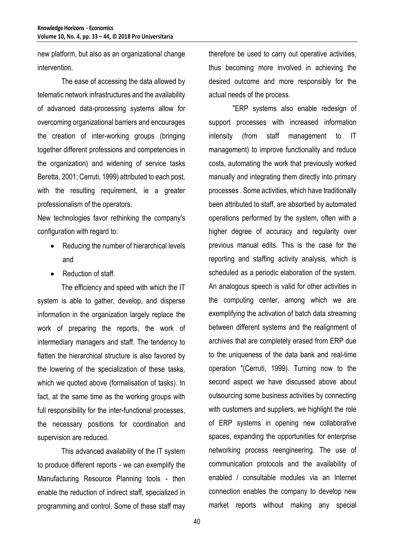new platform, but also as an organizational change intervention.

The ease of accessing the data allowed by telematic network infrastructures and the availability of advanced data-processing systems allow for overcoming organizational barriers and encourages the creation of inter-working groups (bringing together different professions and competencies in the organization) and widening of service tasks Beretta, 2001; Cerruti, 1999) attributed to each post, with the resulting requirement, ie a greater professionalism of the operators.

New technologies favor rethinking the company's configuration with regard to:

- Reducing the number of hierarchical levels and
- Reduction of staff.

The efficiency and speed with which the IT system is able to gather, develop, and disperse information in the organization largely replace the work of preparing the reports, the work of intermediary managers and staff. The tendency to flatten the hierarchical structure is also favored by the lowering of the specialization of these tasks, which we quoted above (formalisation of tasks). In fact, at the same time as the working groups with full responsibility for the inter-functional processes, the necessary positions for coordination and supervision are reduced.

This advanced availability of the IT system to produce different reports - we can exemplify the Manufacturing Resource Planning tools - then enable the reduction of indirect staff, specialized in programming and control. Some of these staff may

therefore be used to carry out operative activities, thus becoming more involved in achieving the desired outcome and more responsibly for the actual needs of the process.

"ERP systems also enable redesign of support processes with increased information intensity (from staff management to IT management) to improve functionality and reduce costs, automating the work that previously worked manually and integrating them directly into primary processes . Some activities, which have traditionally been attributed to staff, are absorbed by automated operations performed by the system, often with a higher degree of accuracy and regularity over previous manual edits. This is the case for the reporting and staffing activity analysis, which is scheduled as a periodic elaboration of the system. An analogous speech is valid for other activities in the computing center, among which we are exemplifying the activation of batch data streaming between different systems and the realignment of archives that are completely erased from ERP due to the uniqueness of the data bank and real-time operation "(Cerruti, 1999). Turning now to the second aspect we have discussed above about outsourcing some business activities by connecting with customers and suppliers, we highlight the role of ERP systems in opening new collaborative spaces, expanding the opportunities for enterprise networking process reengineering. The use of communication protocols and the availability of enabled / consultable modules via an Internet connection enables the company to develop new market reports without making any special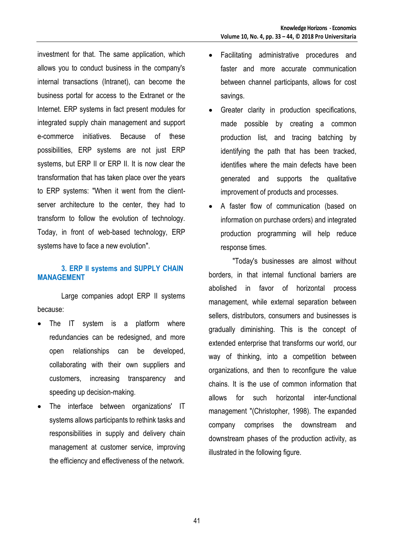investment for that. The same application, which allows you to conduct business in the company's internal transactions (Intranet), can become the business portal for access to the Extranet or the Internet. ERP systems in fact present modules for integrated supply chain management and support e-commerce initiatives. Because of these possibilities, ERP systems are not just ERP systems, but ERP II or ERP II. It is now clear the transformation that has taken place over the years to ERP systems: "When it went from the clientserver architecture to the center, they had to transform to follow the evolution of technology. Today, in front of web-based technology, ERP systems have to face a new evolution".

## **3. ERP II systems and SUPPLY CHAIN MANAGEMENT**

Large companies adopt ERP II systems because:

- The IT system is a platform where redundancies can be redesigned, and more open relationships can be developed, collaborating with their own suppliers and customers, increasing transparency and speeding up decision-making.
- The interface between organizations' IT systems allows participants to rethink tasks and responsibilities in supply and delivery chain management at customer service, improving the efficiency and effectiveness of the network.
- Facilitating administrative procedures and faster and more accurate communication between channel participants, allows for cost savings.
- Greater clarity in production specifications, made possible by creating a common production list, and tracing batching by identifying the path that has been tracked, identifies where the main defects have been generated and supports the qualitative improvement of products and processes.
- A faster flow of communication (based on information on purchase orders) and integrated production programming will help reduce response times.

"Today's businesses are almost without borders, in that internal functional barriers are abolished in favor of horizontal process management, while external separation between sellers, distributors, consumers and businesses is gradually diminishing. This is the concept of extended enterprise that transforms our world, our way of thinking, into a competition between organizations, and then to reconfigure the value chains. It is the use of common information that allows for such horizontal inter-functional management "(Christopher, 1998). The expanded company comprises the downstream and downstream phases of the production activity, as illustrated in the following figure.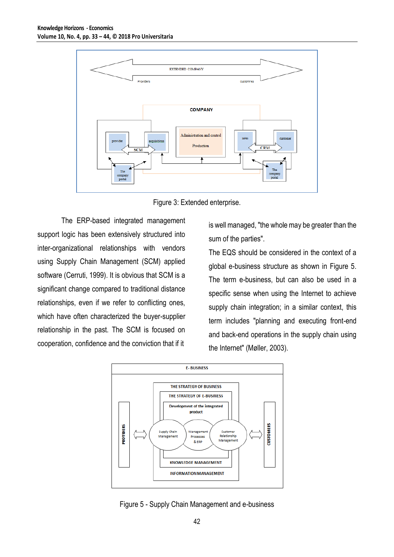

Figure 3: Extended enterprise.

The ERP-based integrated management support logic has been extensively structured into inter-organizational relationships with vendors using Supply Chain Management (SCM) applied software (Cerruti, 1999). It is obvious that SCM is a significant change compared to traditional distance relationships, even if we refer to conflicting ones, which have often characterized the buyer-supplier relationship in the past. The SCM is focused on cooperation, confidence and the conviction that if it

is well managed, "the whole may be greater than the sum of the parties".

The EQS should be considered in the context of a global e-business structure as shown in Figure 5. The term e-business, but can also be used in a specific sense when using the Internet to achieve supply chain integration; in a similar context, this term includes "planning and executing front-end and back-end operations in the supply chain using the Internet" (Møller, 2003).



Figure 5 - Supply Chain Management and e-business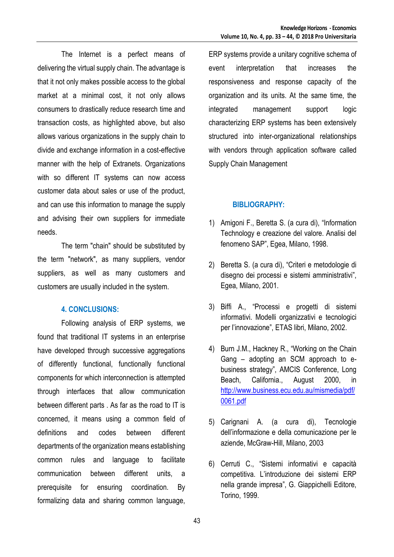The Internet is a perfect means of delivering the virtual supply chain. The advantage is that it not only makes possible access to the global market at a minimal cost, it not only allows consumers to drastically reduce research time and transaction costs, as highlighted above, but also allows various organizations in the supply chain to divide and exchange information in a cost-effective manner with the help of Extranets. Organizations with so different IT systems can now access customer data about sales or use of the product, and can use this information to manage the supply and advising their own suppliers for immediate needs.

The term "chain" should be substituted by the term "network", as many suppliers, vendor suppliers, as well as many customers and customers are usually included in the system.

### **4. CONCLUSIONS:**

Following analysis of ERP systems, we found that traditional IT systems in an enterprise have developed through successive aggregations of differently functional, functionally functional components for which interconnection is attempted through interfaces that allow communication between different parts . As far as the road to IT is concerned, it means using a common field of definitions and codes between different departments of the organization means establishing common rules and language to facilitate communication between different units, a prerequisite for ensuring coordination. By formalizing data and sharing common language, ERP systems provide a unitary cognitive schema of event interpretation that increases the responsiveness and response capacity of the organization and its units. At the same time, the integrated management support logic characterizing ERP systems has been extensively structured into inter-organizational relationships with vendors through application software called Supply Chain Management

## **BIBLIOGRAPHY:**

- 1) Amigoni F., Beretta S. (a cura di), "Information Technology e creazione del valore. Analisi del fenomeno SAP", Egea, Milano, 1998.
- 2) Beretta S. (a cura di), "Criteri e metodologie di disegno dei processi e sistemi amministrativi", Egea, Milano, 2001.
- 3) Biffi A., "Processi e progetti di sistemi informativi. Modelli organizzativi e tecnologici per l'innovazione", ETAS libri, Milano, 2002.
- 4) Burn J.M., Hackney R., "Working on the Chain Gang – adopting an SCM approach to ebusiness strategy", AMCIS Conference, Long Beach, California., August 2000, in [http://www.business.ecu.edu.au/mismedia/pdf/](http://www.business.ecu.edu.au/mismedia/pdf/0061.pdf) [0061.pdf](http://www.business.ecu.edu.au/mismedia/pdf/0061.pdf)
- 5) Carignani A. (a cura di), Tecnologie dell'informazione e della comunicazione per le aziende, McGraw-Hill, Milano, 2003
- 6) Cerruti C., "Sistemi informativi e capacità competitiva. L'introduzione dei sistemi ERP nella grande impresa", G. Giappichelli Editore, Torino, 1999.